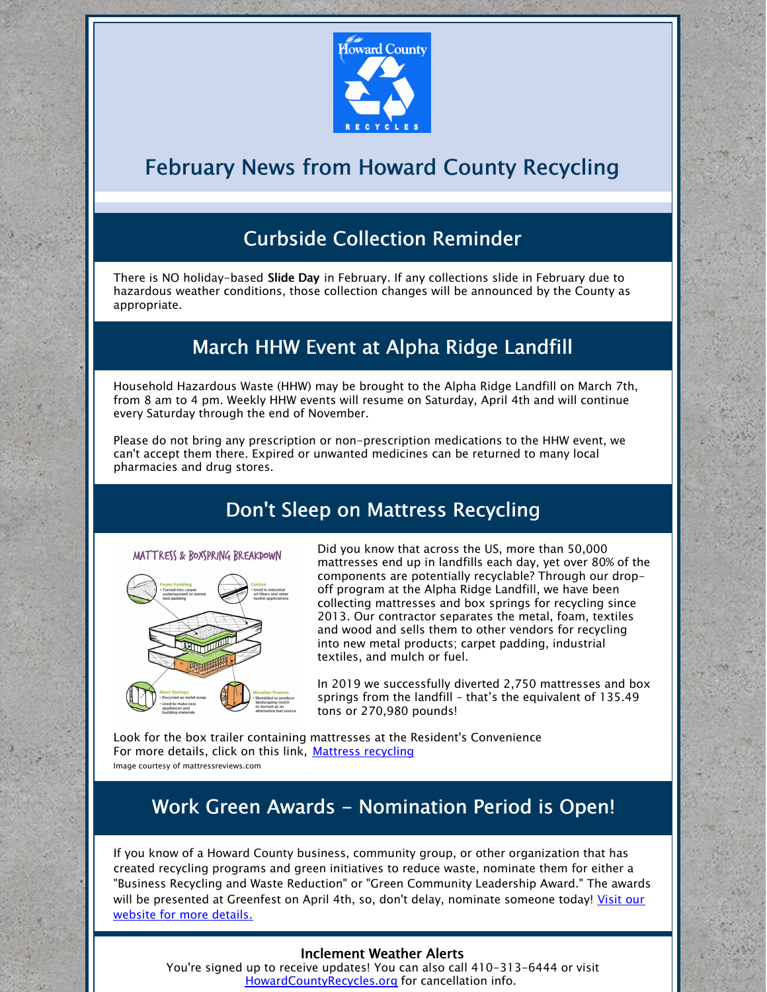

# February News from Howard County Recycling

## Curbside Collection Reminder

There is NO holiday-based Slide Day in February. If any collections slide in February due to hazardous weather conditions, those collection changes will be announced by the County as appropriate.

#### March HHW Event at Alpha Ridge Landfill

Household Hazardous Waste (HHW) may be brought to the Alpha Ridge Landfill on March 7th, from 8 am to 4 pm. Weekly HHW events will resume on Saturday, April 4th and will continue every Saturday through the end of November.

Please do not bring any prescription or non-prescription medications to the HHW event, we can't accept them there. Expired or unwanted medicines can be returned to many local pharmacies and drug stores.

#### Don't Sleep on Mattress Recycling



Did you know that across the US, more than 50,000 mattresses end up in landfills each day, yet over 80% of the components are potentially recyclable? Through our dropoff program at the Alpha Ridge Landfill, we have been collecting mattresses and box springs for recycling since 2013. Our contractor separates the metal, foam, textiles and wood and sells them to other vendors for recycling into new metal products; carpet padding, industrial textiles, and mulch or fuel.

In 2019 we successfully diverted 2,750 mattresses and box springs from the landfill – that's the equivalent of 135.49 tons or 270,980 pounds!

Look for the box trailer containing mattresses at the Resident's Convenience For more details, click on this link, Mattress [recycling](https://www.howardcountymd.gov/Portals/0/Images/Environmental Services/Recycling/mattress recycling.jpg?ver=2020-01-31-093040-160) Image courtesy of mattressreviews.com

### Work Green Awards - Nomination Period is Open!

If you know of a Howard County business, community group, or other organization that has created recycling programs and green initiatives to reduce waste, nominate them for either a "Business Recycling and Waste Reduction" or "Green Community Leadership Award." The awards will be [presented](https://www.howardcountymd.gov/Departments/Public-Works/Bureau-Of-Environmental-Services/Recycling/Business-Recycling) at Greenfest on April 4th, so, don't delay, nominate someone today! Visit our website for more details.

#### Inclement Weather Alerts

You're signed up to receive updates! You can also call 410-313-6444 or visit [HowardCountyRecycles.org](https://www.howardcountymd.gov/Departments/Public-Works/Bureau-Of-Environmental-Services/Recycling) for cancellation info.